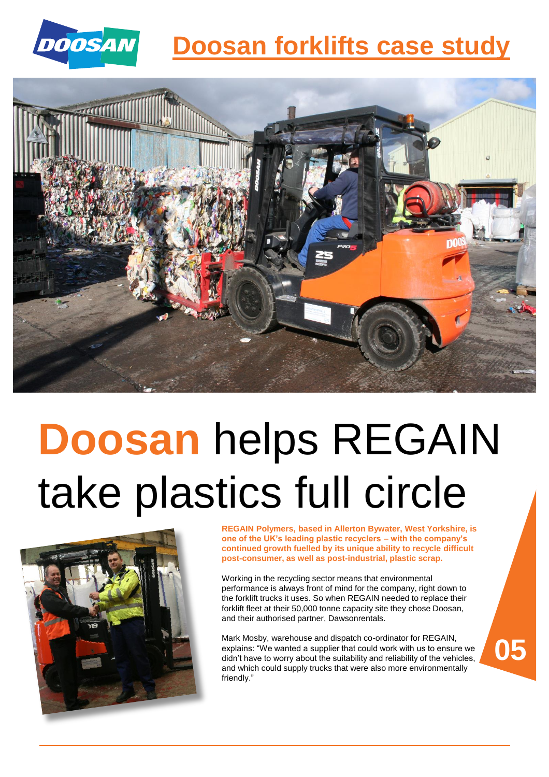

## **Doosan forklifts case study**



## **Doosan** helps REGAIN take plastics full circle



**REGAIN Polymers, based in Allerton Bywater, West Yorkshire, is one of the UK's leading plastic recyclers – with the company's continued growth fuelled by its unique ability to recycle difficult post-consumer, as well as post-industrial, plastic scrap.**

Working in the recycling sector means that environmental performance is always front of mind for the company, right down to the forklift trucks it uses. So when REGAIN needed to replace their forklift fleet at their 50,000 tonne capacity site they chose Doosan, and their authorised partner, Dawsonrentals.

Mark Mosby, warehouse and dispatch co-ordinator for REGAIN, explains: "We wanted a supplier that could work with us to ensure we didn't have to worry about the suitability and reliability of the vehicles, and which could supply trucks that were also more environmentally friendly."

**05**